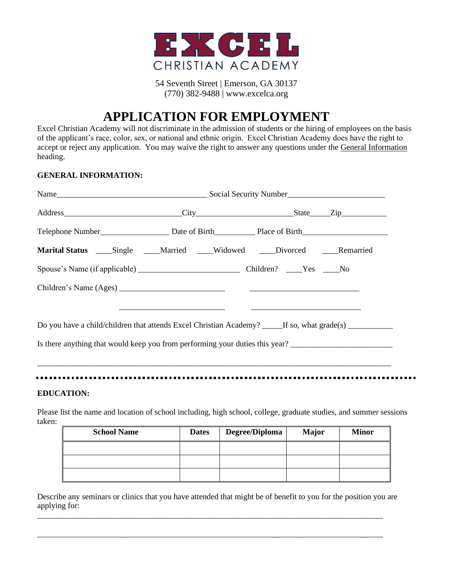

54 Seventh Street | Emerson, GA 30137 (770) 382-9488 | www.excelca.org

# **APPLICATION FOR EMPLOYMENT**

Excel Christian Academy will not discriminate in the admission of students or the hiring of employees on the basis of the applicant's race, color, sex, or national and ethnic origin. Excel Christian Academy does have the right to accept or reject any application. You may waive the right to answer any questions under the General Information heading.

#### **GENERAL INFORMATION:**

| Marital Status _____Single _____Married _____Widowed _____Divorced ____Remarried                           |  |  |  |
|------------------------------------------------------------------------------------------------------------|--|--|--|
|                                                                                                            |  |  |  |
|                                                                                                            |  |  |  |
|                                                                                                            |  |  |  |
| Do you have a child/children that attends Excel Christian Academy? _____If so, what grade(s) _____________ |  |  |  |
| Is there anything that would keep you from performing your duties this year?                               |  |  |  |
|                                                                                                            |  |  |  |
|                                                                                                            |  |  |  |

#### **EDUCATION:**

Please list the name and location of school including, high school, college, graduate studies, and summer sessions taken:

| <b>School Name</b> | <b>Dates</b> | Degree/Diploma | <b>Major</b> | <b>Minor</b> |
|--------------------|--------------|----------------|--------------|--------------|
|                    |              |                |              |              |
|                    |              |                |              |              |
|                    |              |                |              |              |

Describe any seminars or clinics that you have attended that might be of benefit to you for the position you are applying for:

\_\_\_\_\_\_\_\_\_\_\_\_\_\_\_\_\_\_\_\_\_\_\_\_\_\_\_\_\_\_\_\_\_\_\_\_\_\_\_\_\_\_\_\_\_\_\_\_\_\_\_\_\_\_\_\_\_\_\_\_\_\_\_\_\_\_\_\_\_\_\_\_\_\_\_\_\_\_\_\_\_\_\_\_\_

\_\_\_\_\_\_\_\_\_\_\_\_\_\_\_\_\_\_\_\_\_\_\_\_\_\_\_\_\_\_\_\_\_\_\_\_\_\_\_\_\_\_\_\_\_\_\_\_\_\_\_\_\_\_\_\_\_\_\_\_\_\_\_\_\_\_\_\_\_\_\_\_\_\_\_\_\_\_\_\_\_\_\_\_\_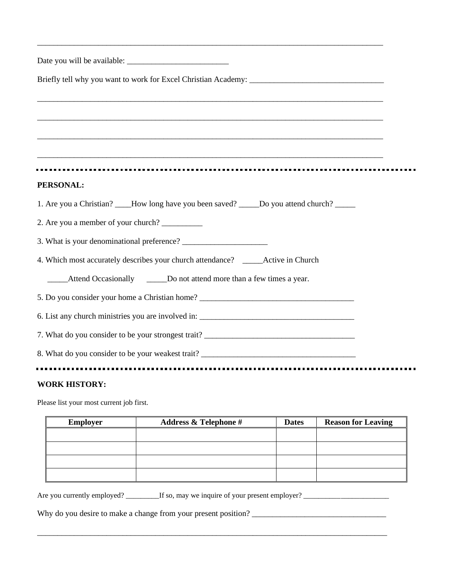| <u> 1989 - Johann Stoff, deutscher Stoff, der Stoff, der Stoff, der Stoff, der Stoff, der Stoff, der Stoff, der S</u> |
|-----------------------------------------------------------------------------------------------------------------------|
|                                                                                                                       |
|                                                                                                                       |
|                                                                                                                       |
|                                                                                                                       |
| PERSONAL:                                                                                                             |
| 1. Are you a Christian? ____How long have you been saved? _____Do you attend church? _____                            |
| 2. Are you a member of your church?                                                                                   |
|                                                                                                                       |
| 4. Which most accurately describes your church attendance? _____Active in Church                                      |
| Attend Occasionally Do not attend more than a few times a year.                                                       |
| 5. Do you consider your home a Christian home?                                                                        |
|                                                                                                                       |
|                                                                                                                       |
|                                                                                                                       |
| $\mathbf{W}\boldsymbol{\wedge}\mathbf{D}\mathbf{V}$ increase.                                                         |

\_\_\_\_\_\_\_\_\_\_\_\_\_\_\_\_\_\_\_\_\_\_\_\_\_\_\_\_\_\_\_\_\_\_\_\_\_\_\_\_\_\_\_\_\_\_\_\_\_\_\_\_\_\_\_\_\_\_\_\_\_\_\_\_\_\_\_\_\_\_\_\_\_\_\_\_\_\_\_\_\_\_\_\_\_

#### **WORK HISTORY:**

Please list your most current job first.

| <b>Employer</b> | <b>Address &amp; Telephone #</b> | <b>Dates</b> | <b>Reason for Leaving</b> |
|-----------------|----------------------------------|--------------|---------------------------|
|                 |                                  |              |                           |
|                 |                                  |              |                           |
|                 |                                  |              |                           |
|                 |                                  |              |                           |

\_\_\_\_\_\_\_\_\_\_\_\_\_\_\_\_\_\_\_\_\_\_\_\_\_\_\_\_\_\_\_\_\_\_\_\_\_\_\_\_\_\_\_\_\_\_\_\_\_\_\_\_\_\_\_\_\_\_\_\_\_\_\_\_\_\_\_\_\_\_\_\_\_\_\_\_\_\_\_\_\_\_\_\_\_\_

Are you currently employed? \_\_\_\_\_\_\_\_\_If so, may we inquire of your present employer? \_\_\_\_\_\_\_\_\_\_\_\_\_\_\_\_\_\_\_\_\_\_\_

Why do you desire to make a change from your present position? \_\_\_\_\_\_\_\_\_\_\_\_\_\_\_\_\_\_\_\_\_\_\_\_\_\_\_\_\_\_\_\_\_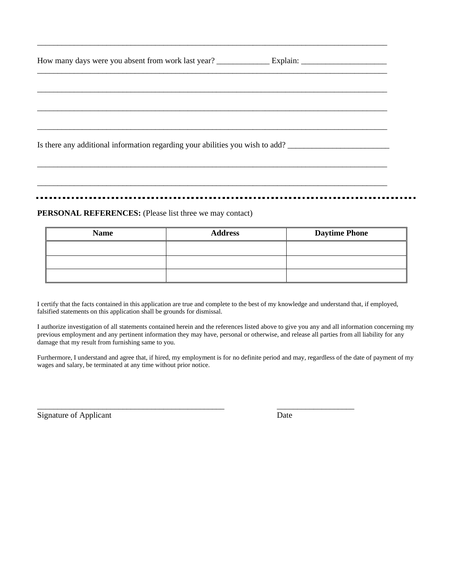| Is there any additional information regarding your abilities you wish to add? |  |
|-------------------------------------------------------------------------------|--|

\_\_\_\_\_\_\_\_\_\_\_\_\_\_\_\_\_\_\_\_\_\_\_\_\_\_\_\_\_\_\_\_\_\_\_\_\_\_\_\_\_\_\_\_\_\_\_\_\_\_\_\_\_\_\_\_\_\_\_\_\_\_\_\_\_\_\_\_\_\_\_\_\_\_\_\_\_\_\_\_\_\_\_\_\_\_

\_\_\_\_\_\_\_\_\_\_\_\_\_\_\_\_\_\_\_\_\_\_\_\_\_\_\_\_\_\_\_\_\_\_\_\_\_\_\_\_\_\_\_\_\_\_\_\_\_\_\_\_\_\_\_\_\_\_\_\_\_\_\_\_\_\_\_\_\_\_\_\_\_\_\_\_\_\_\_\_\_\_\_\_\_\_

\_\_\_\_\_\_\_\_\_\_\_\_\_\_\_\_\_\_\_\_\_\_\_\_\_\_\_\_\_\_\_\_\_\_\_\_\_\_\_\_\_\_\_\_\_\_\_\_\_\_\_\_\_\_\_\_\_\_\_\_\_\_\_\_\_\_\_\_\_\_\_\_\_\_\_\_\_\_\_\_\_\_\_\_\_\_

#### **PERSONAL REFERENCES:** (Please list three we may contact)

| <b>Name</b> | <b>Address</b> | <b>Daytime Phone</b> |
|-------------|----------------|----------------------|
|             |                |                      |
|             |                |                      |
|             |                |                      |

I certify that the facts contained in this application are true and complete to the best of my knowledge and understand that, if employed, falsified statements on this application shall be grounds for dismissal.

I authorize investigation of all statements contained herein and the references listed above to give you any and all information concerning my previous employment and any pertinent information they may have, personal or otherwise, and release all parties from all liability for any damage that my result from furnishing same to you.

Furthermore, I understand and agree that, if hired, my employment is for no definite period and may, regardless of the date of payment of my wages and salary, be terminated at any time without prior notice.

\_\_\_\_\_\_\_\_\_\_\_\_\_\_\_\_\_\_\_\_\_\_\_\_\_\_\_\_\_\_\_\_\_\_\_\_\_\_\_\_\_\_\_\_\_\_ \_\_\_\_\_\_\_\_\_\_\_\_\_\_\_\_\_\_\_

Signature of Applicant Date